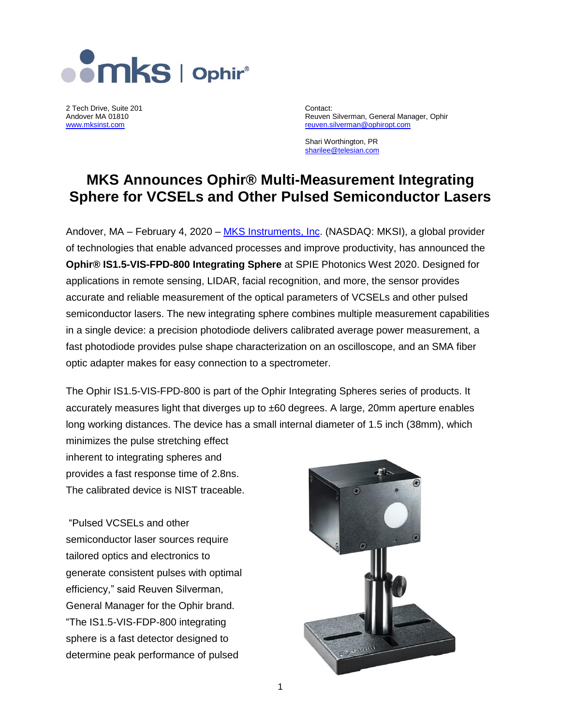

2 Tech Drive, Suite 201 **Contact:**<br>
Andover MA 01810 **Contact:** 
Andover MA 01810

Andover MA 01810 **Andover MA 01810** Reuven Silverman, General Manager, Ophir Reuven Silverman, General Manager, Ophir<br>
Reuven Silverman @ ophiropt.com reuven.silverman@ophiropt.com

> Shari Worthington, PR [sharilee@telesian.com](mailto:sharilee@telesian.com)

# **MKS Announces Ophir® Multi-Measurement Integrating Sphere for VCSELs and Other Pulsed Semiconductor Lasers**

Andover, MA – February 4, 2020 – [MKS Instruments, Inc.](http://mksinst.com/) (NASDAQ: MKSI), a global provider of technologies that enable advanced processes and improve productivity, has announced the **Ophir® IS1.5-VIS-FPD-800 Integrating Sphere** at SPIE Photonics West 2020. Designed for applications in remote sensing, LIDAR, facial recognition, and more, the sensor provides accurate and reliable measurement of the optical parameters of VCSELs and other pulsed semiconductor lasers. The new integrating sphere combines multiple measurement capabilities in a single device: a precision photodiode delivers calibrated average power measurement, a fast photodiode provides pulse shape characterization on an oscilloscope, and an SMA fiber optic adapter makes for easy connection to a spectrometer.

The Ophir IS1.5-VIS-FPD-800 is part of the Ophir Integrating Spheres series of products. It accurately measures light that diverges up to ±60 degrees. A large, 20mm aperture enables long working distances. The device has a small internal diameter of 1.5 inch (38mm), which minimizes the pulse stretching effect

inherent to integrating spheres and provides a fast response time of 2.8ns. The calibrated device is NIST traceable.

"Pulsed VCSELs and other semiconductor laser sources require tailored optics and electronics to generate consistent pulses with optimal efficiency," said Reuven Silverman, General Manager for the Ophir brand. "The IS1.5-VIS-FDP-800 integrating sphere is a fast detector designed to determine peak performance of pulsed

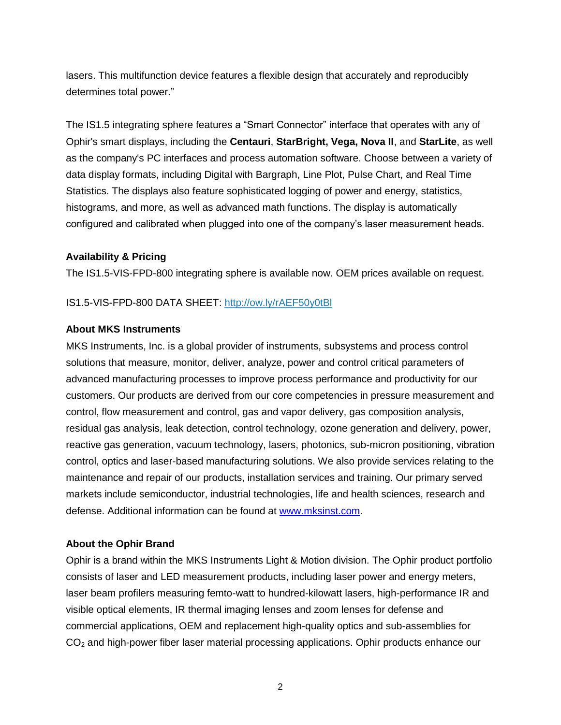lasers. This multifunction device features a flexible design that accurately and reproducibly determines total power."

The IS1.5 integrating sphere features a "Smart Connector" interface that operates with any of Ophir's smart displays, including the **Centauri**, **StarBright, Vega, Nova II**, and **StarLite**, as well as the company's PC interfaces and process automation software. Choose between a variety of data display formats, including Digital with Bargraph, Line Plot, Pulse Chart, and Real Time Statistics. The displays also feature sophisticated logging of power and energy, statistics, histograms, and more, as well as advanced math functions. The display is automatically configured and calibrated when plugged into one of the company's laser measurement heads.

## **Availability & Pricing**

The IS1.5-VIS-FPD-800 integrating sphere is available now. OEM prices available on request.

#### IS1.5-VIS-FPD-800 DATA SHEET:<http://ow.ly/rAEF50y0tBl>

## **About MKS Instruments**

MKS Instruments, Inc. is a global provider of instruments, subsystems and process control solutions that measure, monitor, deliver, analyze, power and control critical parameters of advanced manufacturing processes to improve process performance and productivity for our customers. Our products are derived from our core competencies in pressure measurement and control, flow measurement and control, gas and vapor delivery, gas composition analysis, residual gas analysis, leak detection, control technology, ozone generation and delivery, power, reactive gas generation, vacuum technology, lasers, photonics, sub-micron positioning, vibration control, optics and laser-based manufacturing solutions. We also provide services relating to the maintenance and repair of our products, installation services and training. Our primary served markets include semiconductor, industrial technologies, life and health sciences, research and defense. Additional information can be found at [www.mksinst.com.](http://www.mksinst.com/)

## **About the Ophir Brand**

Ophir is a brand within the MKS Instruments Light & Motion division. The Ophir product portfolio consists of laser and LED measurement products, including laser power and energy meters, laser beam profilers measuring femto-watt to hundred-kilowatt lasers, high-performance IR and visible optical elements, IR thermal imaging lenses and zoom lenses for defense and commercial applications, OEM and replacement high-quality optics and sub-assemblies for CO<sup>2</sup> and high-power fiber laser material processing applications. Ophir products enhance our

2